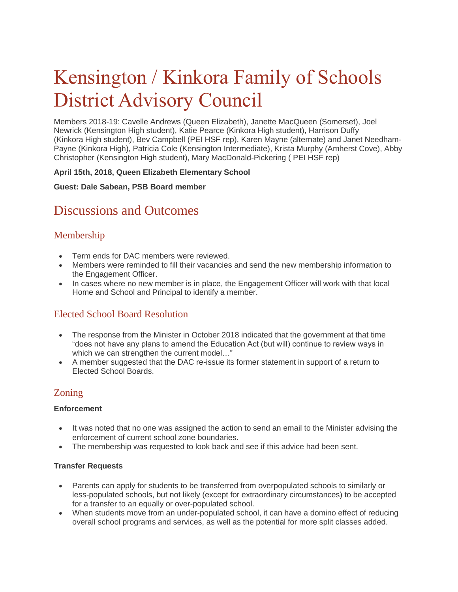# Kensington / Kinkora Family of Schools District Advisory Council

Members 2018-19: Cavelle Andrews (Queen Elizabeth), Janette MacQueen (Somerset), Joel Newrick (Kensington High student), Katie Pearce (Kinkora High student), Harrison Duffy (Kinkora High student), Bev Campbell (PEI HSF rep), Karen Mayne (alternate) and Janet Needham-Payne (Kinkora High), Patricia Cole (Kensington Intermediate), Krista Murphy (Amherst Cove), Abby Christopher (Kensington High student), Mary MacDonald-Pickering ( PEI HSF rep)

## **April 15th, 2018, Queen Elizabeth Elementary School**

#### **Guest: Dale Sabean, PSB Board member**

# Discussions and Outcomes

# Membership

- Term ends for DAC members were reviewed.
- Members were reminded to fill their vacancies and send the new membership information to the Engagement Officer.
- In cases where no new member is in place, the Engagement Officer will work with that local Home and School and Principal to identify a member.

# Elected School Board Resolution

- The response from the Minister in October 2018 indicated that the government at that time "does not have any plans to amend the Education Act (but will) continue to review ways in which we can strengthen the current model..."
- A member suggested that the DAC re-issue its former statement in support of a return to Elected School Boards.

## Zoning

#### **Enforcement**

- It was noted that no one was assigned the action to send an email to the Minister advising the enforcement of current school zone boundaries.
- The membership was requested to look back and see if this advice had been sent.

## **Transfer Requests**

- Parents can apply for students to be transferred from overpopulated schools to similarly or less-populated schools, but not likely (except for extraordinary circumstances) to be accepted for a transfer to an equally or over-populated school.
- When students move from an under-populated school, it can have a domino effect of reducing overall school programs and services, as well as the potential for more split classes added.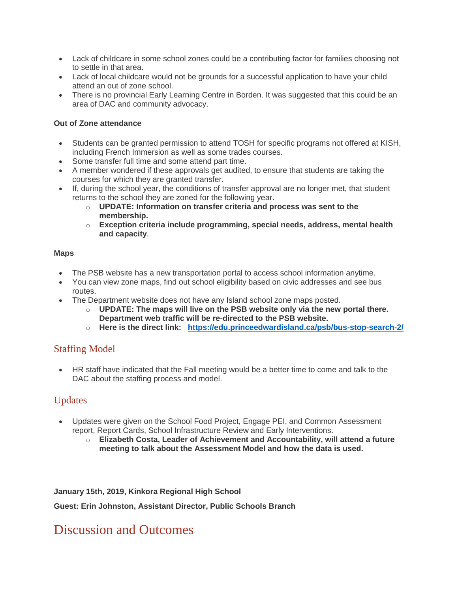- Lack of childcare in some school zones could be a contributing factor for families choosing not to settle in that area.
- Lack of local childcare would not be grounds for a successful application to have your child attend an out of zone school.
- There is no provincial Early Learning Centre in Borden. It was suggested that this could be an area of DAC and community advocacy.

## **Out of Zone attendance**

- Students can be granted permission to attend TOSH for specific programs not offered at KISH, including French Immersion as well as some trades courses.
- Some transfer full time and some attend part time.
- A member wondered if these approvals get audited, to ensure that students are taking the courses for which they are granted transfer.
- If, during the school year, the conditions of transfer approval are no longer met, that student returns to the school they are zoned for the following year.
	- o **UPDATE: Information on transfer criteria and process was sent to the membership.**
	- o **Exception criteria include programming, special needs, address, mental health and capacity**.

#### **Maps**

- The PSB website has a new transportation portal to access school information anytime.
- You can view zone maps, find out school eligibility based on civic addresses and see bus routes.
- The Department website does not have any Island school zone maps posted.
	- o **UPDATE: The maps will live on the PSB website only via the new portal there. Department web traffic will be re-directed to the PSB website.**
	- o **Here is the direct link: <https://edu.princeedwardisland.ca/psb/bus-stop-search-2/>**

# Staffing Model

 HR staff have indicated that the Fall meeting would be a better time to come and talk to the DAC about the staffing process and model.

## Updates

- Updates were given on the School Food Project, Engage PEI, and Common Assessment report, Report Cards, School Infrastructure Review and Early Interventions.
	- o **Elizabeth Costa, Leader of Achievement and Accountability, will attend a future meeting to talk about the Assessment Model and how the data is used.**

**January 15th, 2019, Kinkora Regional High School**

**Guest: Erin Johnston, Assistant Director, Public Schools Branch**

# Discussion and Outcomes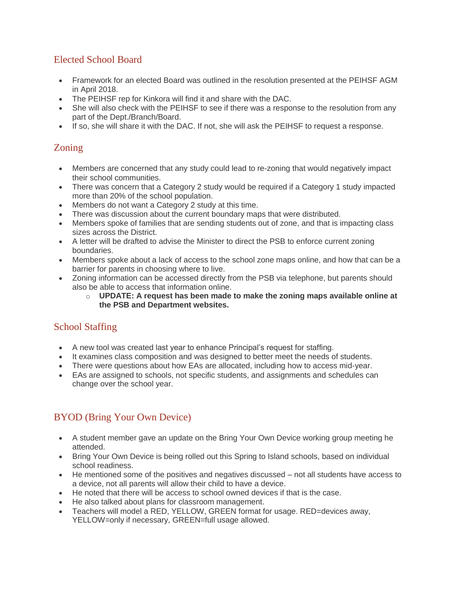# Elected School Board

- Framework for an elected Board was outlined in the resolution presented at the PEIHSF AGM in April 2018.
- The PEIHSF rep for Kinkora will find it and share with the DAC.
- She will also check with the PEIHSF to see if there was a response to the resolution from any part of the Dept./Branch/Board.
- If so, she will share it with the DAC. If not, she will ask the PEIHSF to request a response.

# Zoning

- Members are concerned that any study could lead to re-zoning that would negatively impact their school communities.
- There was concern that a Category 2 study would be required if a Category 1 study impacted more than 20% of the school population.
- Members do not want a Category 2 study at this time.
- There was discussion about the current boundary maps that were distributed.
- Members spoke of families that are sending students out of zone, and that is impacting class sizes across the District.
- A letter will be drafted to advise the Minister to direct the PSB to enforce current zoning boundaries.
- Members spoke about a lack of access to the school zone maps online, and how that can be a barrier for parents in choosing where to live.
- Zoning information can be accessed directly from the PSB via telephone, but parents should also be able to access that information online.
	- o **UPDATE: A request has been made to make the zoning maps available online at the PSB and Department websites.**

# School Staffing

- A new tool was created last year to enhance Principal's request for staffing.
- It examines class composition and was designed to better meet the needs of students.
- There were questions about how EAs are allocated, including how to access mid-year.
- EAs are assigned to schools, not specific students, and assignments and schedules can change over the school year.

# BYOD (Bring Your Own Device)

- A student member gave an update on the Bring Your Own Device working group meeting he attended.
- Bring Your Own Device is being rolled out this Spring to Island schools, based on individual school readiness.
- He mentioned some of the positives and negatives discussed not all students have access to a device, not all parents will allow their child to have a device.
- He noted that there will be access to school owned devices if that is the case.
- He also talked about plans for classroom management.
- Teachers will model a RED, YELLOW, GREEN format for usage. RED=devices away, YELLOW=only if necessary, GREEN=full usage allowed.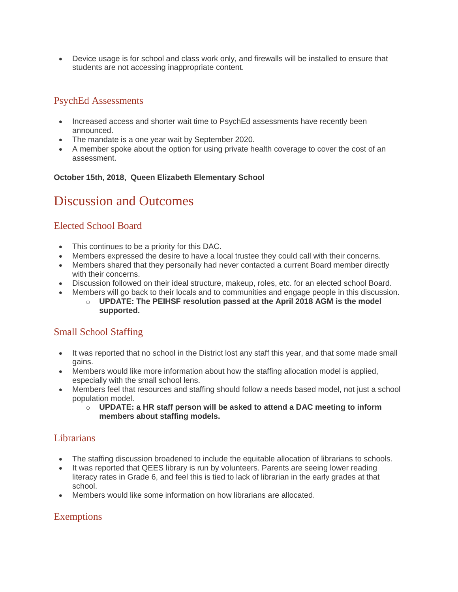Device usage is for school and class work only, and firewalls will be installed to ensure that students are not accessing inappropriate content.

# PsychEd Assessments

- Increased access and shorter wait time to PsychEd assessments have recently been announced.
- The mandate is a one year wait by September 2020.
- A member spoke about the option for using private health coverage to cover the cost of an assessment.

## **October 15th, 2018, Queen Elizabeth Elementary School**

# Discussion and Outcomes

# Elected School Board

- This continues to be a priority for this DAC.
- Members expressed the desire to have a local trustee they could call with their concerns.
- Members shared that they personally had never contacted a current Board member directly with their concerns.
- Discussion followed on their ideal structure, makeup, roles, etc. for an elected school Board.
- Members will go back to their locals and to communities and engage people in this discussion.
	- o **UPDATE: The PEIHSF resolution passed at the April 2018 AGM is the model supported.**

# Small School Staffing

- It was reported that no school in the District lost any staff this year, and that some made small gains.
- Members would like more information about how the staffing allocation model is applied, especially with the small school lens.
- Members feel that resources and staffing should follow a needs based model, not just a school population model.
	- o **UPDATE: a HR staff person will be asked to attend a DAC meeting to inform members about staffing models.**

# Librarians

- The staffing discussion broadened to include the equitable allocation of librarians to schools.
- It was reported that QEES library is run by volunteers. Parents are seeing lower reading literacy rates in Grade 6, and feel this is tied to lack of librarian in the early grades at that school.
- Members would like some information on how librarians are allocated.

# Exemptions